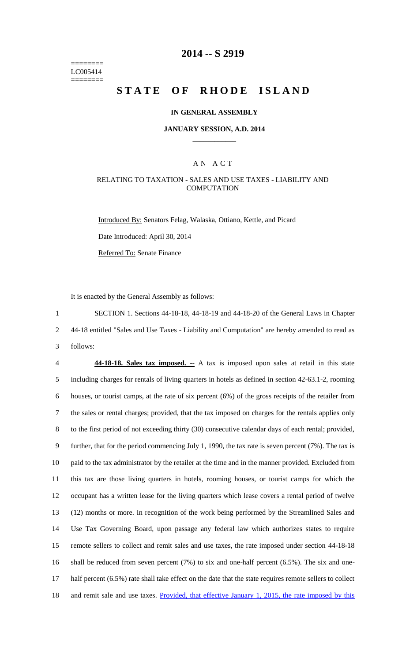======== LC005414 ========

# **2014 -- S 2919**

# **STATE OF RHODE ISLAND**

### **IN GENERAL ASSEMBLY**

### **JANUARY SESSION, A.D. 2014 \_\_\_\_\_\_\_\_\_\_\_\_**

### A N A C T

### RELATING TO TAXATION - SALES AND USE TAXES - LIABILITY AND **COMPUTATION**

Introduced By: Senators Felag, Walaska, Ottiano, Kettle, and Picard Date Introduced: April 30, 2014

Referred To: Senate Finance

It is enacted by the General Assembly as follows:

1 SECTION 1. Sections 44-18-18, 44-18-19 and 44-18-20 of the General Laws in Chapter 2 44-18 entitled "Sales and Use Taxes - Liability and Computation" are hereby amended to read as 3 follows:

 **44-18-18. Sales tax imposed. --** A tax is imposed upon sales at retail in this state including charges for rentals of living quarters in hotels as defined in section 42-63.1-2, rooming houses, or tourist camps, at the rate of six percent (6%) of the gross receipts of the retailer from the sales or rental charges; provided, that the tax imposed on charges for the rentals applies only to the first period of not exceeding thirty (30) consecutive calendar days of each rental; provided, further, that for the period commencing July 1, 1990, the tax rate is seven percent (7%). The tax is paid to the tax administrator by the retailer at the time and in the manner provided. Excluded from this tax are those living quarters in hotels, rooming houses, or tourist camps for which the occupant has a written lease for the living quarters which lease covers a rental period of twelve (12) months or more. In recognition of the work being performed by the Streamlined Sales and Use Tax Governing Board, upon passage any federal law which authorizes states to require remote sellers to collect and remit sales and use taxes, the rate imposed under section 44-18-18 shall be reduced from seven percent (7%) to six and one-half percent (6.5%). The six and one- half percent (6.5%) rate shall take effect on the date that the state requires remote sellers to collect and remit sale and use taxes. Provided, that effective January 1, 2015, the rate imposed by this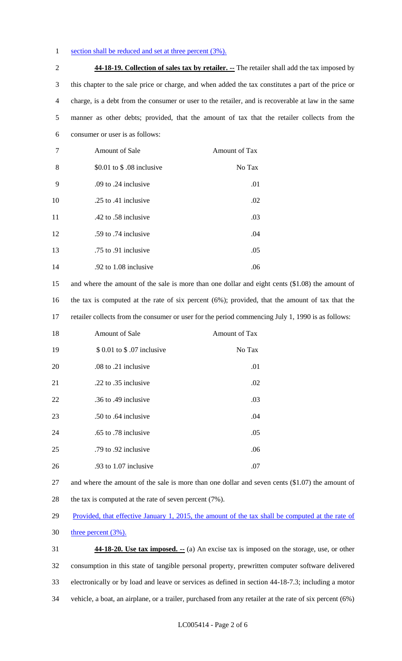### 1 section shall be reduced and set at three percent (3%).

 **44-18-19. Collection of sales tax by retailer. --** The retailer shall add the tax imposed by this chapter to the sale price or charge, and when added the tax constitutes a part of the price or charge, is a debt from the consumer or user to the retailer, and is recoverable at law in the same manner as other debts; provided, that the amount of tax that the retailer collects from the consumer or user is as follows:

| 7  | Amount of Sale            | Amount of Tax |
|----|---------------------------|---------------|
| 8  | \$0.01 to \$.08 inclusive | No Tax        |
| 9  | .09 to .24 inclusive      | .01           |
| 10 | .25 to .41 inclusive      | .02           |
| 11 | .42 to .58 inclusive      | .03           |
| 12 | .59 to .74 inclusive      | .04           |
| 13 | .75 to .91 inclusive      | .05           |
| 14 | .92 to 1.08 inclusive     | .06           |

 and where the amount of the sale is more than one dollar and eight cents (\$1.08) the amount of the tax is computed at the rate of six percent (6%); provided, that the amount of tax that the retailer collects from the consumer or user for the period commencing July 1, 1990 is as follows:

| 18 | <b>Amount of Sale</b>       | Amount of Tax |
|----|-----------------------------|---------------|
| 19 | \$ 0.01 to \$ .07 inclusive | No Tax        |
| 20 | .08 to .21 inclusive        | .01           |
| 21 | .22 to .35 inclusive        | .02           |
| 22 | .36 to .49 inclusive        | .03           |
| 23 | .50 to .64 inclusive        | .04           |
| 24 | .65 to .78 inclusive        | .05           |
| 25 | .79 to .92 inclusive        | .06           |
| 26 | .93 to 1.07 inclusive       | .07           |

 and where the amount of the sale is more than one dollar and seven cents (\$1.07) the amount of 28 the tax is computed at the rate of seven percent (7%).

29 Provided, that effective January 1, 2015, the amount of the tax shall be computed at the rate of

three percent  $(3\%)$ .

 **44-18-20. Use tax imposed. --** (a) An excise tax is imposed on the storage, use, or other consumption in this state of tangible personal property, prewritten computer software delivered electronically or by load and leave or services as defined in section 44-18-7.3; including a motor vehicle, a boat, an airplane, or a trailer, purchased from any retailer at the rate of six percent (6%)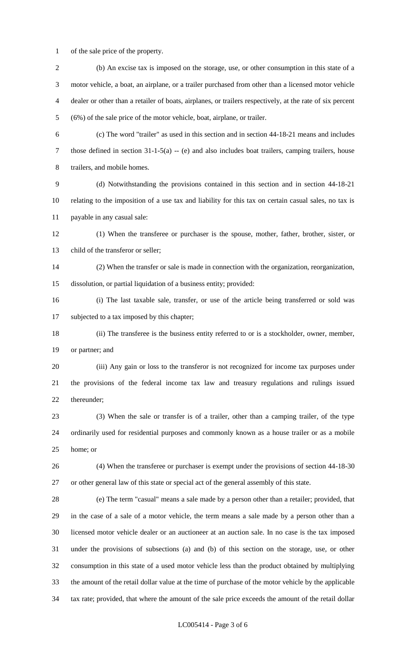of the sale price of the property.

| $\overline{2}$ | (b) An excise tax is imposed on the storage, use, or other consumption in this state of a                 |
|----------------|-----------------------------------------------------------------------------------------------------------|
| 3              | motor vehicle, a boat, an airplane, or a trailer purchased from other than a licensed motor vehicle       |
| 4              | dealer or other than a retailer of boats, airplanes, or trailers respectively, at the rate of six percent |
| 5              | (6%) of the sale price of the motor vehicle, boat, airplane, or trailer.                                  |
| 6              | (c) The word "trailer" as used in this section and in section 44-18-21 means and includes                 |
| 7              | those defined in section $31-1-5(a) - (e)$ and also includes boat trailers, camping trailers, house       |
| 8              | trailers, and mobile homes.                                                                               |
| 9              | (d) Notwithstanding the provisions contained in this section and in section 44-18-21                      |
| 10             | relating to the imposition of a use tax and liability for this tax on certain casual sales, no tax is     |
| 11             | payable in any casual sale:                                                                               |
| 12             | (1) When the transferee or purchaser is the spouse, mother, father, brother, sister, or                   |
| 13             | child of the transferor or seller;                                                                        |
| 14             | (2) When the transfer or sale is made in connection with the organization, reorganization,                |
| 15             | dissolution, or partial liquidation of a business entity; provided:                                       |
| 16             | (i) The last taxable sale, transfer, or use of the article being transferred or sold was                  |
| 17             | subjected to a tax imposed by this chapter;                                                               |
| 18             | (ii) The transferee is the business entity referred to or is a stockholder, owner, member,                |
| 19             | or partner; and                                                                                           |
| 20             | (iii) Any gain or loss to the transferor is not recognized for income tax purposes under                  |
| 21             | the provisions of the federal income tax law and treasury regulations and rulings issued                  |
| 22             | thereunder;                                                                                               |
| 23             | (3) When the sale or transfer is of a trailer, other than a camping trailer, of the type                  |
| 24             | ordinarily used for residential purposes and commonly known as a house trailer or as a mobile             |
| 25             | home; or                                                                                                  |
| 26             | (4) When the transferee or purchaser is exempt under the provisions of section 44-18-30                   |
| 27             | or other general law of this state or special act of the general assembly of this state.                  |
| 28             | (e) The term "casual" means a sale made by a person other than a retailer; provided, that                 |
| 29             | in the case of a sale of a motor vehicle, the term means a sale made by a person other than a             |
| 30             | licensed motor vehicle dealer or an auctioneer at an auction sale. In no case is the tax imposed          |
| 31             | under the provisions of subsections (a) and (b) of this section on the storage, use, or other             |
| 32             | consumption in this state of a used motor vehicle less than the product obtained by multiplying           |
| 33             | the amount of the retail dollar value at the time of purchase of the motor vehicle by the applicable      |
| 34             | tax rate; provided, that where the amount of the sale price exceeds the amount of the retail dollar       |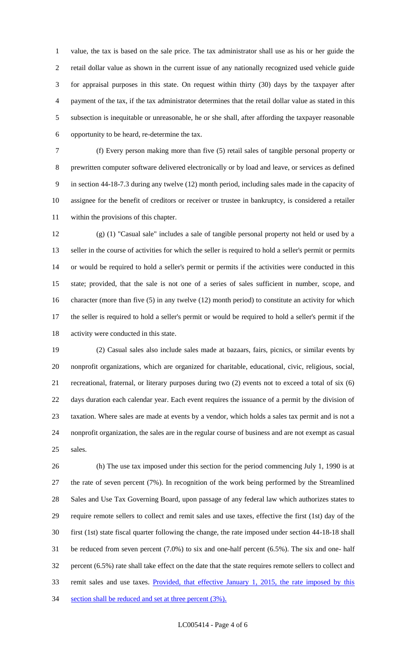value, the tax is based on the sale price. The tax administrator shall use as his or her guide the retail dollar value as shown in the current issue of any nationally recognized used vehicle guide for appraisal purposes in this state. On request within thirty (30) days by the taxpayer after payment of the tax, if the tax administrator determines that the retail dollar value as stated in this subsection is inequitable or unreasonable, he or she shall, after affording the taxpayer reasonable opportunity to be heard, re-determine the tax.

 (f) Every person making more than five (5) retail sales of tangible personal property or prewritten computer software delivered electronically or by load and leave, or services as defined in section 44-18-7.3 during any twelve (12) month period, including sales made in the capacity of assignee for the benefit of creditors or receiver or trustee in bankruptcy, is considered a retailer within the provisions of this chapter.

 (g) (1) "Casual sale" includes a sale of tangible personal property not held or used by a seller in the course of activities for which the seller is required to hold a seller's permit or permits or would be required to hold a seller's permit or permits if the activities were conducted in this state; provided, that the sale is not one of a series of sales sufficient in number, scope, and character (more than five (5) in any twelve (12) month period) to constitute an activity for which the seller is required to hold a seller's permit or would be required to hold a seller's permit if the activity were conducted in this state.

 (2) Casual sales also include sales made at bazaars, fairs, picnics, or similar events by nonprofit organizations, which are organized for charitable, educational, civic, religious, social, recreational, fraternal, or literary purposes during two (2) events not to exceed a total of six (6) days duration each calendar year. Each event requires the issuance of a permit by the division of taxation. Where sales are made at events by a vendor, which holds a sales tax permit and is not a nonprofit organization, the sales are in the regular course of business and are not exempt as casual sales.

 (h) The use tax imposed under this section for the period commencing July 1, 1990 is at the rate of seven percent (7%). In recognition of the work being performed by the Streamlined Sales and Use Tax Governing Board, upon passage of any federal law which authorizes states to require remote sellers to collect and remit sales and use taxes, effective the first (1st) day of the first (1st) state fiscal quarter following the change, the rate imposed under section 44-18-18 shall be reduced from seven percent (7.0%) to six and one-half percent (6.5%). The six and one- half percent (6.5%) rate shall take effect on the date that the state requires remote sellers to collect and remit sales and use taxes. Provided, that effective January 1, 2015, the rate imposed by this 34 section shall be reduced and set at three percent (3%).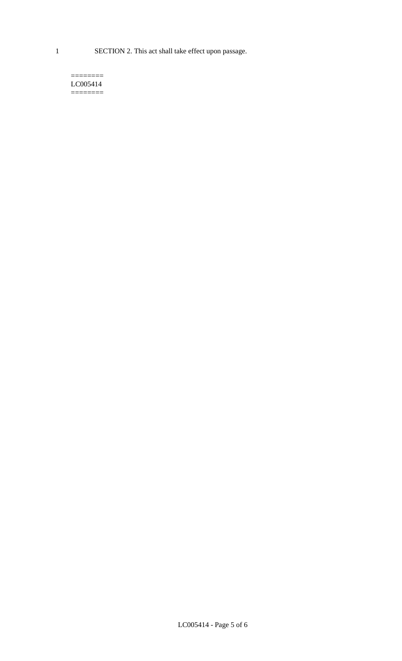1 SECTION 2. This act shall take effect upon passage.

#### $=$ LC005414  $=$

LC005414 - Page 5 of 6